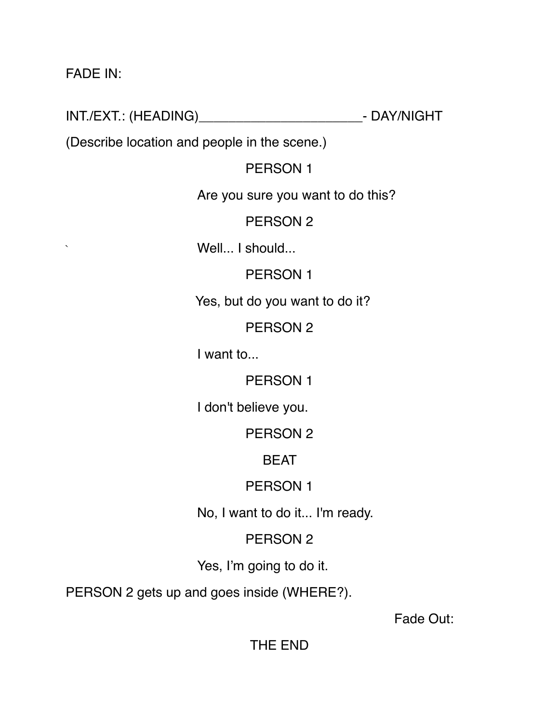#### FADE IN:

INT./EXT.: (HEADING)\_\_\_\_\_\_\_\_\_\_\_\_\_\_\_\_\_\_\_\_\_\_- DAY/NIGHT

(Describe location and people in the scene.)

#### PERSON 1

Are you sure you want to do this?

PERSON 2

 $\sim$  Well... I should...

### PERSON 1

Yes, but do you want to do it?

PERSON 2

I want to...

PERSON 1

I don't believe you.

PERSON 2

# BEAT

# PERSON 1

No, I want to do it... I'm ready.

## PERSON 2

Yes, I'm going to do it.

PERSON 2 gets up and goes inside (WHERE?).

Fade Out:

THE END